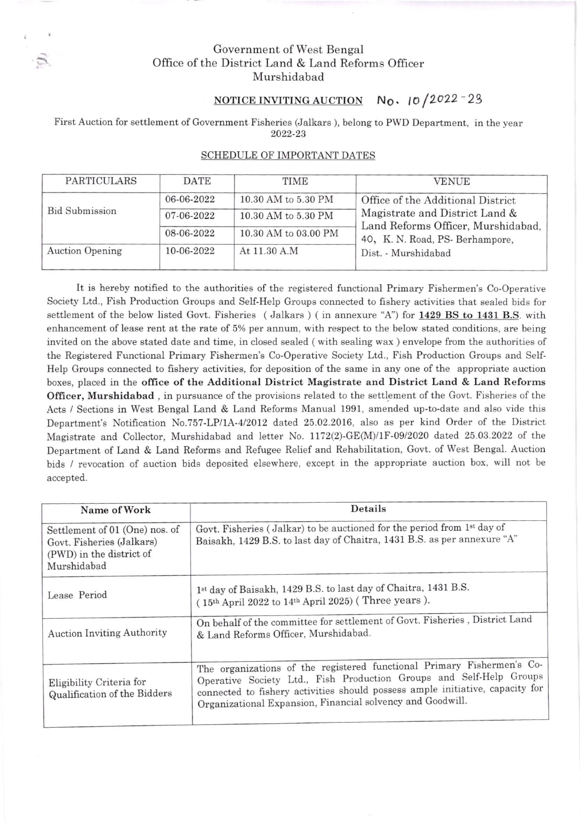## Government of West Bengal Office of the District Land & Land Reforms Officer Murshidabad

## NOTICE INVITING AUCTION  $N_0$ ,  $10/2022 - 29$

First Auction for settlement of Government Fisheries (Jalkars ), belong to PWD Department, in the year 2022-23

| PARTICULARS            | <b>DATE</b> | TIME                 | <b>VENUE</b>                                                                                              |
|------------------------|-------------|----------------------|-----------------------------------------------------------------------------------------------------------|
| <b>Bid Submission</b>  | 06-06-2022  | 10.30 AM to 5.30 PM  | Office of the Additional District<br>Magistrate and District Land &<br>Land Reforms Officer, Murshidabad, |
|                        | 07-06-2022  | 10.30 AM to 5.30 PM  |                                                                                                           |
|                        | 08-06-2022  | 10.30 AM to 03.00 PM | 40, K. N. Road, PS- Berhampore,                                                                           |
| <b>Auction Opening</b> | 10-06-2022  | At 11.30 A.M         | Dist. - Murshidabad                                                                                       |

## SCHEDULE OF IMPORTANT DATES

It is hereby notified to the authorities of the registered functional Primary Fishermen's Co-Operative Society Ltd., Fish Production Groups and Self-Help Groups connected to fishery activities that sealed bids for settlement of the below listed Govt. Fisheries (Jalkars) (in annexure "A") for 1429 BS to 1431 B.S. with enhancement of lease rent at the rate of 5% per annum, with respect to the below stated conditions, are being invited on the above stated date and time, in closed sealed ( with sealing wax ) envelope from the authorities of the Registered Functional Primary Fishermen's Co-Operative Society Ltd., Fish Production Groups and Self-Help Groups connected to Iishery activities, for deposition of the same in any one of the appropriate auction boxes, placed in the offrce of the Additional District Magistrate and District Land & Land Reforms Officer, Murshidabad, in pursuance of the provisions related to the settlement of the Govt. Fisheries of the Acts / Sections in West Bengal Land & Land Reforms Manual 1991, amended up-to-date and also vide this Department's Notfication No.757-LPl1A-4/2012 dated 25.02.2016, also as per kind Order of the District Magistrate and Collector, Murshidabad and letter No.  $1172(2)$ -GE(M)/1F-09/2020 dated 25.03.2022 of the Department of Land & Land Reforms and Refugee Relief and Rehabilitation, Govt. of West Bengal. Auction bids / revocation of auction bids deposited elsewhere, except in the appropriate auction box, will not be accepted.

| Name of Work                                                                                           | Details                                                                                                                                                                                                                                                                                      |
|--------------------------------------------------------------------------------------------------------|----------------------------------------------------------------------------------------------------------------------------------------------------------------------------------------------------------------------------------------------------------------------------------------------|
| Settlement of 01 (One) nos. of<br>Govt. Fisheries (Jalkars)<br>(PWD) in the district of<br>Murshidabad | Govt. Fisheries (Jalkar) to be auctioned for the period from 1 <sup>st</sup> day of<br>Baisakh, 1429 B.S. to last day of Chaitra, 1431 B.S. as per annexure "A"                                                                                                                              |
| Lease Period                                                                                           | 1st day of Baisakh, 1429 B.S. to last day of Chaitra, 1431 B.S.<br>(15th April 2022 to 14th April 2025) (Three years).                                                                                                                                                                       |
| <b>Auction Inviting Authority</b>                                                                      | On behalf of the committee for settlement of Govt. Fisheries , District Land<br>& Land Reforms Officer, Murshidabad.                                                                                                                                                                         |
| Eligibility Criteria for<br>Qualification of the Bidders                                               | The organizations of the registered functional Primary Fishermen's Co-<br>Operative Society Ltd., Fish Production Groups and Self-Help Groups<br>connected to fishery activities should possess ample initiative, capacity for<br>Organizational Expansion, Financial solvency and Goodwill. |